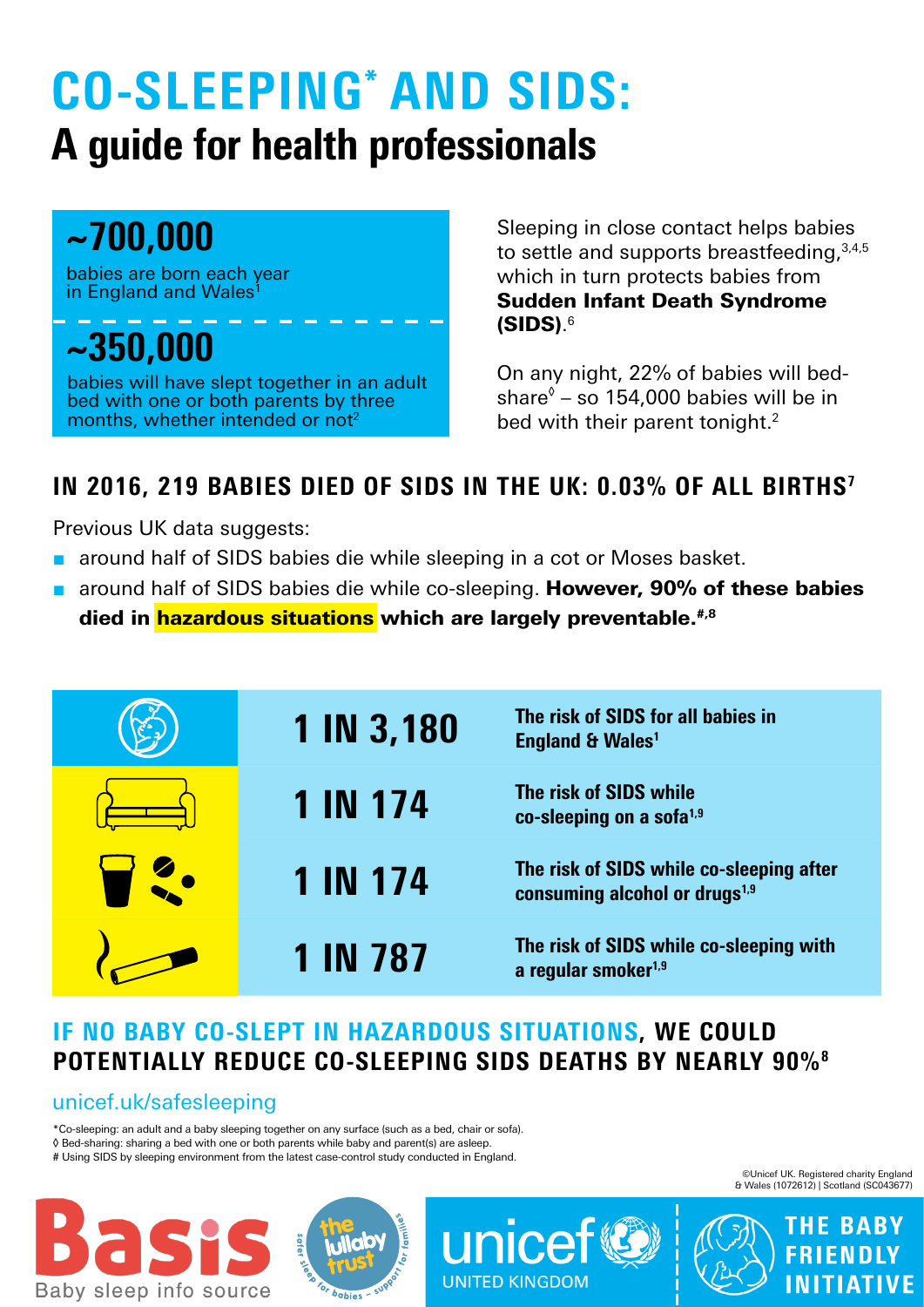# CO-SLEEPING\* AND SIDS: A guide for health professionals

# ~700,000

babies are born each year in England and Wales

~350,000

babies will have slept together in an adult bed with one or both parents by three months, whether intended or not<sup>2</sup>

Sleeping in close contact helps babies to settle and supports breastfeeding, 3,4,5 which in turn protects babies from Sudden Infant Death Syndrome (SIDS). 6

On any night, 22% of babies will bedshare $\degree$  – so 154,000 babies will be in bed with their parent tonight.<sup>2</sup>

### IN 2016, 219 BABIES DIED OF SIDS IN THE UK: 0.03% OF ALL BIRTHS<sup>7</sup>

Previous UK data suggests:

- around half of SIDS babies die while sleeping in a cot or Moses basket.
- around half of SIDS babies die while co-sleeping. However, 90% of these babies died in hazardous situations which are largely preventable.<sup>#,8</sup>



### IF NO BABY CO-SLEPT IN HAZARDOUS SITUATIONS, WE COULD POTENTIALLY REDUCE CO-SLEEPING SIDS DEATHS BY NEARLY 90%8

#### [unicef.uk/safesleeping](https://www.unicef.org.uk/babyfriendly/baby-friendly-resources/leaflets-and-posters/co-sleeping-and-sids/)

\*Co-sleeping: an adult and a baby sleeping together on any surface (such as a bed, chair or sofa). ◊ Bed-sharing: sharing a bed with one or both parents while baby and parent(s) are asleep.

# Using SIDS by sleeping environment from the latest case-control study conducted in England.







©Unicef UK. Registered charity England & Wales (1072612) | Scotland (SC043677)

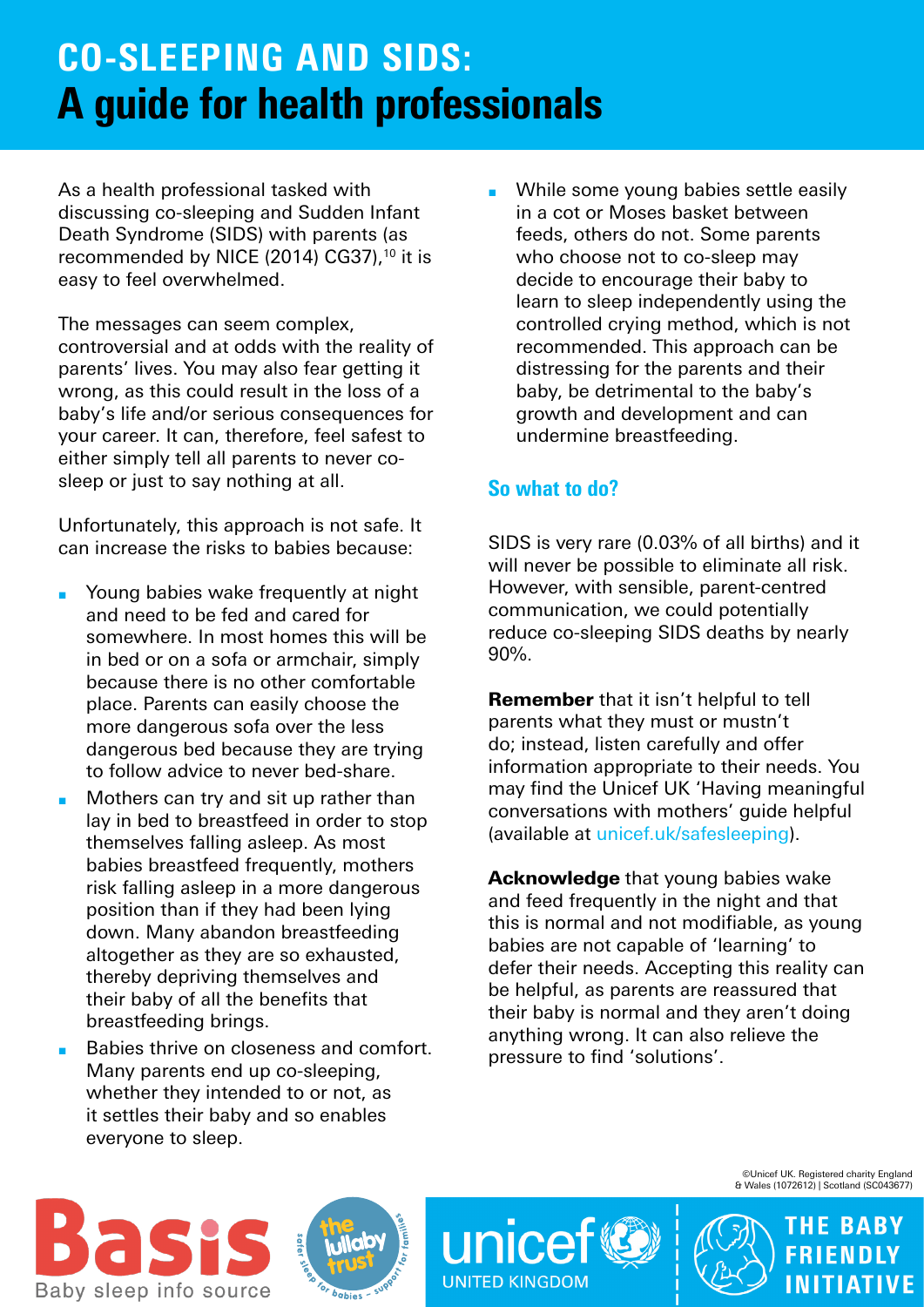### CO-SLEEPING AND SIDS: A guide for health professionals

As a health professional tasked with discussing co-sleeping and Sudden Infant Death Syndrome (SIDS) with parents (as recommended by NICE (2014) CG37),<sup>10</sup> it is easy to feel overwhelmed.

The messages can seem complex, controversial and at odds with the reality of parents' lives. You may also fear getting it wrong, as this could result in the loss of a baby's life and/or serious consequences for your career. It can, therefore, feel safest to either simply tell all parents to never cosleep or just to say nothing at all.

Unfortunately, this approach is not safe. It can increase the risks to babies because:

- Young babies wake frequently at night and need to be fed and cared for somewhere. In most homes this will be in bed or on a sofa or armchair, simply because there is no other comfortable place. Parents can easily choose the more dangerous sofa over the less dangerous bed because they are trying to follow advice to never bed-share.
- Mothers can try and sit up rather than lay in bed to breastfeed in order to stop themselves falling asleep. As most babies breastfeed frequently, mothers risk falling asleep in a more dangerous position than if they had been lying down. Many abandon breastfeeding altogether as they are so exhausted, thereby depriving themselves and their baby of all the benefits that breastfeeding brings.
- Babies thrive on closeness and comfort. Many parents end up co-sleeping, whether they intended to or not, as it settles their baby and so enables everyone to sleep.

While some young babies settle easily in a cot or Moses basket between feeds, others do not. Some parents who choose not to co-sleep may decide to encourage their baby to learn to sleep independently using the controlled crying method, which is not recommended. This approach can be distressing for the parents and their baby, be detrimental to the baby's growth and development and can undermine breastfeeding.

#### So what to do?

SIDS is very rare (0.03% of all births) and it will never be possible to eliminate all risk. However, with sensible, parent-centred communication, we could potentially reduce co-sleeping SIDS deaths by nearly 90%.

**Remember** that it isn't helpful to tell parents what they must or mustn't do; instead, listen carefully and offer information appropriate to their needs. You may find the Unicef UK 'Having meaningful conversations with mothers' guide helpful (available at [unicef.uk/safesleeping\)](https://www.unicef.org.uk/babyfriendly/baby-friendly-resources/leaflets-and-posters/co-sleeping-and-sids/).

**Acknowledge** that young babies wake and feed frequently in the night and that this is normal and not modifiable, as young babies are not capable of 'learning' to defer their needs. Accepting this reality can be helpful, as parents are reassured that their baby is normal and they aren't doing anything wrong. It can also relieve the pressure to find 'solutions'.





**UNITED KINGDOM** 

©Unicef UK. Registered charity England & Wales (1072612) | Scotland (SC043677)

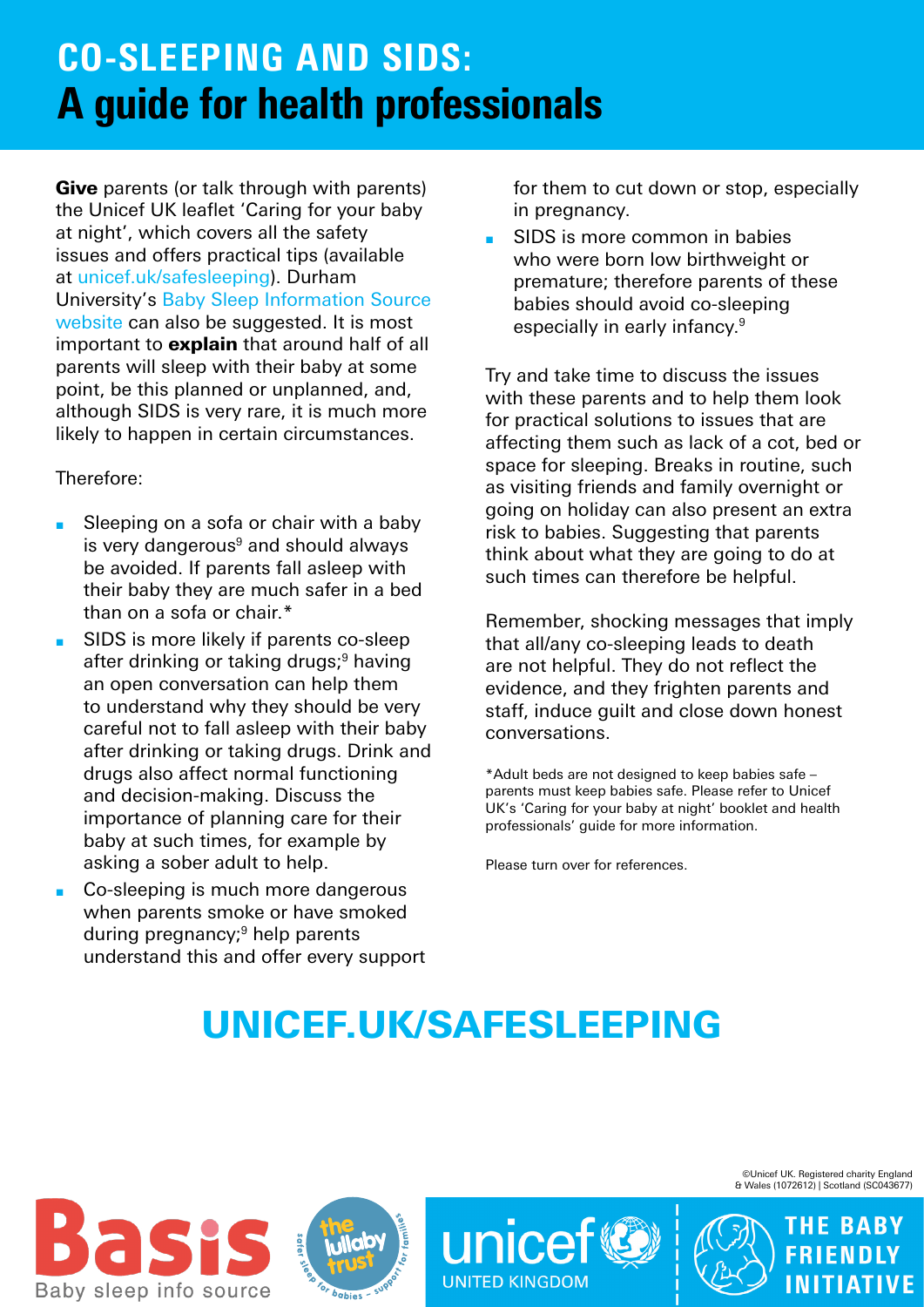### CO-SLEEPING AND SIDS: A guide for health professionals

Give parents (or talk through with parents) the Unicef UK leaflet 'Caring for your baby at night', which covers all the safety issues and offers practical tips (available at [unicef.uk/safesleeping](https://www.unicef.org.uk/babyfriendly/baby-friendly-resources/leaflets-and-posters/co-sleeping-and-sids/)). Durham University's [Baby Sleep Information Source](https://www.isisonline.org.uk/)  [website](https://www.isisonline.org.uk/) can also be suggested. It is most important to **explain** that around half of all parents will sleep with their baby at some point, be this planned or unplanned, and, although SIDS is very rare, it is much more likely to happen in certain circumstances.

#### Therefore:

- Sleeping on a sofa or chair with a baby is very dangerous $9$  and should always be avoided. If parents fall asleep with their baby they are much safer in a bed than on a sofa or chair.\*
- SIDS is more likely if parents co-sleep after drinking or taking drugs;<sup>9</sup> having an open conversation can help them to understand why they should be very careful not to fall asleep with their baby after drinking or taking drugs. Drink and drugs also affect normal functioning and decision-making. Discuss the importance of planning care for their baby at such times, for example by asking a sober adult to help.
- Co-sleeping is much more dangerous when parents smoke or have smoked during pregnancy;<sup>9</sup> help parents understand this and offer every support

for them to cut down or stop, especially in pregnancy.

SIDS is more common in babies who were born low birthweight or premature; therefore parents of these babies should avoid co-sleeping especially in early infancy.9

Try and take time to discuss the issues with these parents and to help them look for practical solutions to issues that are affecting them such as lack of a cot, bed or space for sleeping. Breaks in routine, such as visiting friends and family overnight or going on holiday can also present an extra risk to babies. Suggesting that parents think about what they are going to do at such times can therefore be helpful.

Remember, shocking messages that imply that all/any co-sleeping leads to death are not helpful. They do not reflect the evidence, and they frighten parents and staff, induce guilt and close down honest conversations.

\*Adult beds are not designed to keep babies safe – parents must keep babies safe. Please refer to Unicef UK's 'Caring for your baby at night' booklet and health professionals' guide for more information.

Please turn over for references.

# [UNICEF.UK/SAFESLEEPING](https://www.unicef.org.uk/babyfriendly/baby-friendly-resources/leaflets-and-posters/co-sleeping-and-sids/)







©Unicef UK. Registered charity England & Wales (1072612) | Scotland (SC043677)

**FRIEND** 

**THE BABY** 

**INITIATIVF**